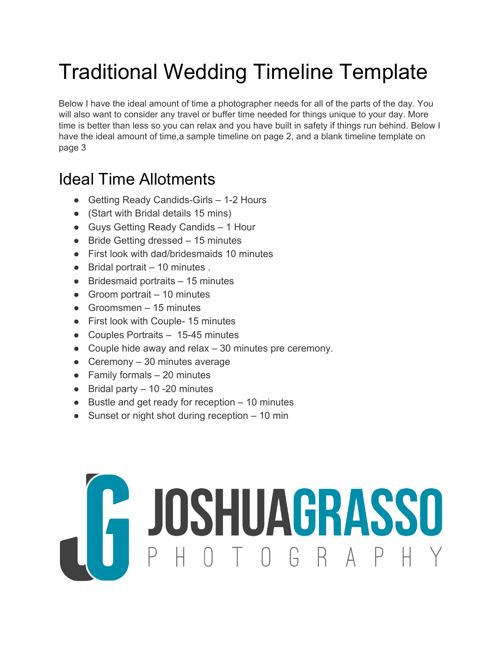# Traditional Wedding Timeline Template

Below I have the ideal amount of time a photographer needs for all of the parts of the day. You will also want to consider any travel or buffer time needed for things unique to your day. More time is better than less so you can relax and you have built in safety if things run behind. Below I have the ideal amount of time, a sample timeline on page 2, and a blank timeline template on page 3

### Ideal Time Allotments

- Getting Ready Candids-Girls 1-2 Hours
- (Start with Bridal details 15 mins)
- Guys Getting Ready Candids 1 Hour
- Bride Getting dressed 15 minutes
- First look with dad/bridesmaids 10 minutes
- $\bullet$  Bridal portrait  $-10$  minutes.
- Bridesmaid portraits 15 minutes
- $\bullet$  Groom portrait  $-10$  minutes
- $\bullet$  Groomsmen 15 minutes
- First look with Couple- 15 minutes
- Couples Portraits 15-45 minutes
- Couple hide away and relax 30 minutes pre ceremony.
- Ceremony  $-30$  minutes average
- $\bullet$  Family formals  $-20$  minutes
- $\bullet$  Bridal party  $-10 20$  minutes
- Bustle and get ready for reception 10 minutes
- Sunset or night shot during reception 10 min

# COSHUAGRASSO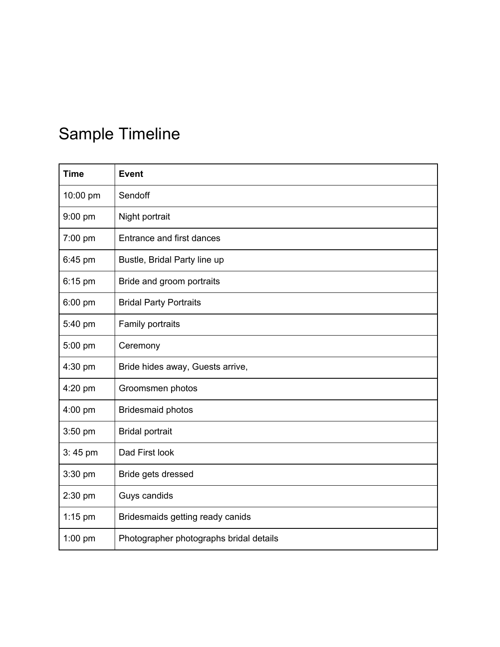## Sample Timeline

| <b>Time</b> | <b>Event</b>                            |
|-------------|-----------------------------------------|
| 10:00 pm    | Sendoff                                 |
| 9:00 pm     | Night portrait                          |
| 7:00 pm     | Entrance and first dances               |
| 6:45 pm     | Bustle, Bridal Party line up            |
| $6:15$ pm   | Bride and groom portraits               |
| 6:00 pm     | <b>Bridal Party Portraits</b>           |
| 5:40 pm     | Family portraits                        |
| 5:00 pm     | Ceremony                                |
| 4:30 pm     | Bride hides away, Guests arrive,        |
| 4:20 pm     | Groomsmen photos                        |
| 4:00 pm     | <b>Bridesmaid photos</b>                |
| 3:50 pm     | <b>Bridal portrait</b>                  |
| $3:45$ pm   | Dad First look                          |
| 3:30 pm     | Bride gets dressed                      |
| 2:30 pm     | Guys candids                            |
| $1:15$ pm   | Bridesmaids getting ready canids        |
| $1:00$ pm   | Photographer photographs bridal details |